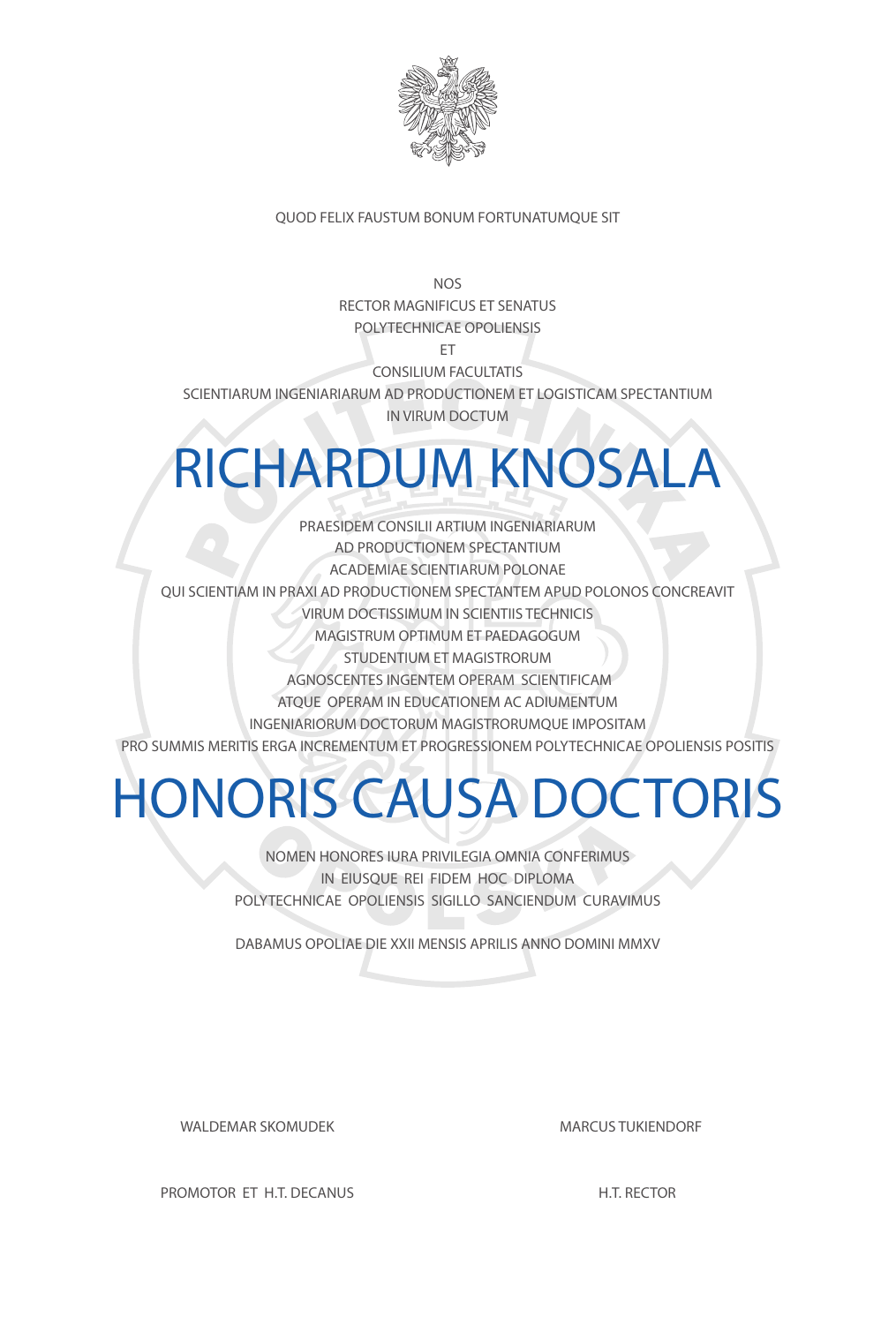

#### QUOD FELIX FAUSTUM BONUM FORTUNATUMQUE SIT

**NOS** RECTOR MAGNIFICUS ET SENATUS POLYTECHNICAE OPOLIENSIS

ET

CONSILIUM FACULTATIS

SCIENTIARUM INGENIARIARUM AD PRODUCTIONEM ET LOGISTICAM SPECTANTIUM IN VIRUM DOCTUM

### RICHARDUM KNOSALA

PRAESIDEM CONSILII ARTIUM INGENIARIARUM AD PRODUCTIONEM SPECTANTIUM ACADEMIAE SCIENTIARUM POLONAE QUI SCIENTIAM IN PRAXI AD PRODUCTIONEM SPECTANTEM APUD POLONOS CONCREAVIT VIRUM DOCTISSIMUM IN SCIENTIIS TECHNICIS MAGISTRUM OPTIMUM ET PAEDAGOGUM STUDENTIUM ET MAGISTRORUM AGNOSCENTES INGENTEM OPERAM SCIENTIFICAM ATQUE OPERAM IN EDUCATIONEM AC ADIUMENTUM INGENIARIORUM DOCTORUM MAGISTRORUMQUE IMPOSITAM PRO SUMMIS MERITIS ERGA INCREMENTUM ET PROGRESSIONEM POLYTECHNICAE OPOLIENSIS POSITIS

# HONORIS CAUSA DOCTORIS

NOMEN HONORES IURA PRIVILEGIA OMNIA CONFERIMUS

IN EIUSQUE REI FIDEM HOC DIPLOMA POLYTECHNICAE OPOLIENSIS SIGILLO SANCIENDUM CURAVIMUS

DABAMUS OPOLIAE DIE XXII MENSIS APRILIS ANNO DOMINI MMXV

WALDEMAR SKOMUDEK

PROMOTOR ET H.T. DECANUS

MARCUS TUKIENDORF

H.T. RECTOR